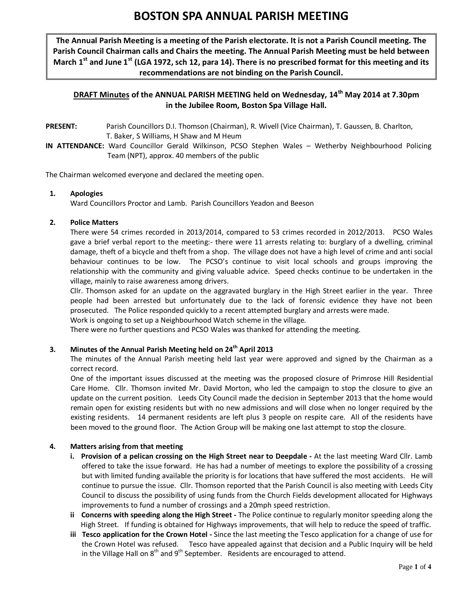# **BOSTON SPA ANNUAL PARISH MEETING**

**The Annual Parish Meeting is a meeting of the Parish electorate. It is not a Parish Council meeting. The Parish Council Chairman calls and Chairs the meeting. The Annual Parish Meeting must be held between March 1st and June 1st (LGA 1972, sch 12, para 14). There is no prescribed format for this meeting and its recommendations are not binding on the Parish Council.**

## **DRAFT Minutes of the ANNUAL PARISH MEETING held on Wednesday, 14th May 2014 at 7.30pm in the Jubilee Room, Boston Spa Village Hall.**

- **PRESENT:** Parish Councillors D.I. Thomson (Chairman), R. Wivell (Vice Chairman), T. Gaussen, B. Charlton, T. Baker, S Williams, H Shaw and M Heum
- **IN ATTENDANCE:** Ward Councillor Gerald Wilkinson, PCSO Stephen Wales Wetherby Neighbourhood Policing Team (NPT), approx. 40 members of the public

The Chairman welcomed everyone and declared the meeting open.

#### **1. Apologies**

Ward Councillors Proctor and Lamb. Parish Councillors Yeadon and Beeson

#### **2. Police Matters**

There were 54 crimes recorded in 2013/2014, compared to 53 crimes recorded in 2012/2013. PCSO Wales gave a brief verbal report to the meeting:- there were 11 arrests relating to: burglary of a dwelling, criminal damage, theft of a bicycle and theft from a shop. The village does not have a high level of crime and anti social behaviour continues to be low. The PCSO's continue to visit local schools and groups improving the relationship with the community and giving valuable advice. Speed checks continue to be undertaken in the village, mainly to raise awareness among drivers.

Cllr. Thomson asked for an update on the aggravated burglary in the High Street earlier in the year. Three people had been arrested but unfortunately due to the lack of forensic evidence they have not been prosecuted. The Police responded quickly to a recent attempted burglary and arrests were made.

Work is ongoing to set up a Neighbourhood Watch scheme in the village.

There were no further questions and PCSO Wales was thanked for attending the meeting.

### **3. Minutes of the Annual Parish Meeting held on 24th April 2013**

The minutes of the Annual Parish meeting held last year were approved and signed by the Chairman as a correct record.

One of the important issues discussed at the meeting was the proposed closure of Primrose Hill Residential Care Home. Cllr. Thomson invited Mr. David Morton, who led the campaign to stop the closure to give an update on the current position. Leeds City Council made the decision in September 2013 that the home would remain open for existing residents but with no new admissions and will close when no longer required by the existing residents. 14 permanent residents are left plus 3 people on respite care. All of the residents have been moved to the ground floor. The Action Group will be making one last attempt to stop the closure.

#### **4. Matters arising from that meeting**

- **i. Provision of a pelican crossing on the High Street near to Deepdale -** At the last meeting Ward Cllr. Lamb offered to take the issue forward. He has had a number of meetings to explore the possibility of a crossing but with limited funding available the priority is for locations that have suffered the most accidents. He will continue to pursue the issue. Cllr. Thomson reported that the Parish Council is also meeting with Leeds City Council to discuss the possibility of using funds from the Church Fields development allocated for Highways improvements to fund a number of crossings and a 20mph speed restriction.
- **ii Concerns with speeding along the High Street -** The Police continue to regularly monitor speeding along the High Street. If funding is obtained for Highways improvements, that will help to reduce the speed of traffic.
- **iii Tesco application for the Crown Hotel -** Since the last meeting the Tesco application for a change of use for the Crown Hotel was refused. Tesco have appealed against that decision and a Public Inquiry will be held in the Village Hall on  $8<sup>th</sup>$  and  $9<sup>th</sup>$  September. Residents are encouraged to attend.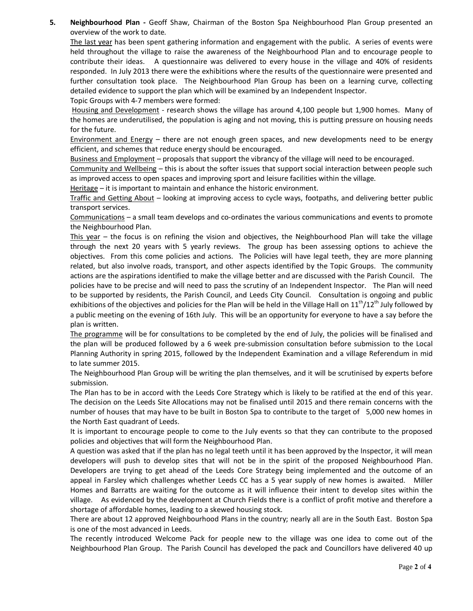**5. Neighbourhood Plan -** Geoff Shaw, Chairman of the Boston Spa Neighbourhood Plan Group presented an overview of the work to date.

The last year has been spent gathering information and engagement with the public. A series of events were held throughout the village to raise the awareness of the Neighbourhood Plan and to encourage people to contribute their ideas. A questionnaire was delivered to every house in the village and 40% of residents responded. In July 2013 there were the exhibitions where the results of the questionnaire were presented and further consultation took place. The Neighbourhood Plan Group has been on a learning curve, collecting detailed evidence to support the plan which will be examined by an Independent Inspector.

Topic Groups with 4-7 members were formed:

Housing and Development - research shows the village has around 4,100 people but 1,900 homes. Many of the homes are underutilised, the population is aging and not moving, this is putting pressure on housing needs for the future.

Environment and Energy – there are not enough green spaces, and new developments need to be energy efficient, and schemes that reduce energy should be encouraged.

Business and Employment – proposals that support the vibrancy of the village will need to be encouraged.

Community and Wellbeing – this is about the softer issues that support social interaction between people such as improved access to open spaces and improving sport and leisure facilities within the village.

Heritage – it is important to maintain and enhance the historic environment.

Traffic and Getting About – looking at improving access to cycle ways, footpaths, and delivering better public transport services.

Communications – a small team develops and co-ordinates the various communications and events to promote the Neighbourhood Plan.

This year – the focus is on refining the vision and objectives, the Neighbourhood Plan will take the village through the next 20 years with 5 yearly reviews. The group has been assessing options to achieve the objectives. From this come policies and actions. The Policies will have legal teeth, they are more planning related, but also involve roads, transport, and other aspects identified by the Topic Groups. The community actions are the aspirations identified to make the village better and are discussed with the Parish Council. The policies have to be precise and will need to pass the scrutiny of an Independent Inspector. The Plan will need to be supported by residents, the Parish Council, and Leeds City Council. Consultation is ongoing and public exhibitions of the objectives and policies for the Plan will be held in the Village Hall on  $11<sup>th</sup>/12<sup>th</sup>$  July followed by a public meeting on the evening of 16th July. This will be an opportunity for everyone to have a say before the plan is written.

The programme will be for consultations to be completed by the end of July, the policies will be finalised and the plan will be produced followed by a 6 week pre-submission consultation before submission to the Local Planning Authority in spring 2015, followed by the Independent Examination and a village Referendum in mid to late summer 2015.

The Neighbourhood Plan Group will be writing the plan themselves, and it will be scrutinised by experts before submission.

The Plan has to be in accord with the Leeds Core Strategy which is likely to be ratified at the end of this year. The decision on the Leeds Site Allocations may not be finalised until 2015 and there remain concerns with the number of houses that may have to be built in Boston Spa to contribute to the target of 5,000 new homes in the North East quadrant of Leeds.

It is important to encourage people to come to the July events so that they can contribute to the proposed policies and objectives that will form the Neighbourhood Plan.

A question was asked that if the plan has no legal teeth until it has been approved by the Inspector, it will mean developers will push to develop sites that will not be in the spirit of the proposed Neighbourhood Plan. Developers are trying to get ahead of the Leeds Core Strategy being implemented and the outcome of an appeal in Farsley which challenges whether Leeds CC has a 5 year supply of new homes is awaited. Miller Homes and Barratts are waiting for the outcome as it will influence their intent to develop sites within the village. As evidenced by the development at Church Fields there is a conflict of profit motive and therefore a shortage of affordable homes, leading to a skewed housing stock.

There are about 12 approved Neighbourhood Plans in the country; nearly all are in the South East. Boston Spa is one of the most advanced in Leeds.

The recently introduced Welcome Pack for people new to the village was one idea to come out of the Neighbourhood Plan Group. The Parish Council has developed the pack and Councillors have delivered 40 up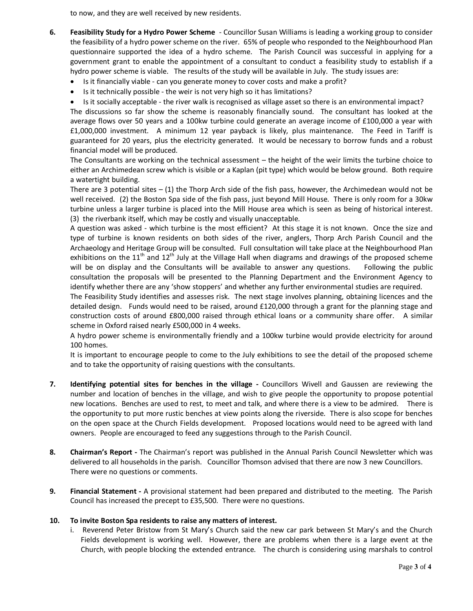to now, and they are well received by new residents.

- **6. Feasibility Study for a Hydro Power Scheme** Councillor Susan Williams is leading a working group to consider the feasibility of a hydro power scheme on the river. 65% of people who responded to the Neighbourhood Plan questionnaire supported the idea of a hydro scheme. The Parish Council was successful in applying for a government grant to enable the appointment of a consultant to conduct a feasibility study to establish if a hydro power scheme is viable. The results of the study will be available in July. The study issues are:
	- · Is it financially viable can you generate money to cover costs and make a profit?
	- Is it technically possible the weir is not very high so it has limitations?
	- · Is it socially acceptable the river walk is recognised as village asset so there is an environmental impact?

The discussions so far show the scheme is reasonably financially sound. The consultant has looked at the average flows over 50 years and a 100kw turbine could generate an average income of £100,000 a year with £1,000,000 investment. A minimum 12 year payback is likely, plus maintenance. The Feed in Tariff is guaranteed for 20 years, plus the electricity generated. It would be necessary to borrow funds and a robust financial model will be produced.

The Consultants are working on the technical assessment – the height of the weir limits the turbine choice to either an Archimedean screw which is visible or a Kaplan (pit type) which would be below ground. Both require a watertight building.

There are 3 potential sites  $- (1)$  the Thorp Arch side of the fish pass, however, the Archimedean would not be well received. (2) the Boston Spa side of the fish pass, just beyond Mill House. There is only room for a 30kw turbine unless a larger turbine is placed into the Mill House area which is seen as being of historical interest. (3) the riverbank itself, which may be costly and visually unacceptable.

A question was asked - which turbine is the most efficient? At this stage it is not known. Once the size and type of turbine is known residents on both sides of the river, anglers, Thorp Arch Parish Council and the Archaeology and Heritage Group will be consulted. Full consultation will take place at the Neighbourhood Plan exhibitions on the 11<sup>th</sup> and 12<sup>th</sup> July at the Village Hall when diagrams and drawings of the proposed scheme will be on display and the Consultants will be available to answer any questions. Following the public consultation the proposals will be presented to the Planning Department and the Environment Agency to identify whether there are any 'show stoppers' and whether any further environmental studies are required.

The Feasibility Study identifies and assesses risk. The next stage involves planning, obtaining licences and the detailed design. Funds would need to be raised, around £120,000 through a grant for the planning stage and construction costs of around £800,000 raised through ethical loans or a community share offer. A similar scheme in Oxford raised nearly £500,000 in 4 weeks.

A hydro power scheme is environmentally friendly and a 100kw turbine would provide electricity for around 100 homes.

It is important to encourage people to come to the July exhibitions to see the detail of the proposed scheme and to take the opportunity of raising questions with the consultants.

- **7. Identifying potential sites for benches in the village -** Councillors Wivell and Gaussen are reviewing the number and location of benches in the village, and wish to give people the opportunity to propose potential new locations. Benches are used to rest, to meet and talk, and where there is a view to be admired. There is the opportunity to put more rustic benches at view points along the riverside. There is also scope for benches on the open space at the Church Fields development. Proposed locations would need to be agreed with land owners. People are encouraged to feed any suggestions through to the Parish Council.
- **8. Chairman's Report -** The Chairman's report was published in the Annual Parish Council Newsletter which was delivered to all households in the parish. Councillor Thomson advised that there are now 3 new Councillors. There were no questions or comments.
- **9. Financial Statement -** A provisional statement had been prepared and distributed to the meeting. The Parish Council has increased the precept to £35,500. There were no questions.

#### **10. To invite Boston Spa residents to raise any matters of interest.**

i. Reverend Peter Bristow from St Mary's Church said the new car park between St Mary's and the Church Fields development is working well. However, there are problems when there is a large event at the Church, with people blocking the extended entrance. The church is considering using marshals to control